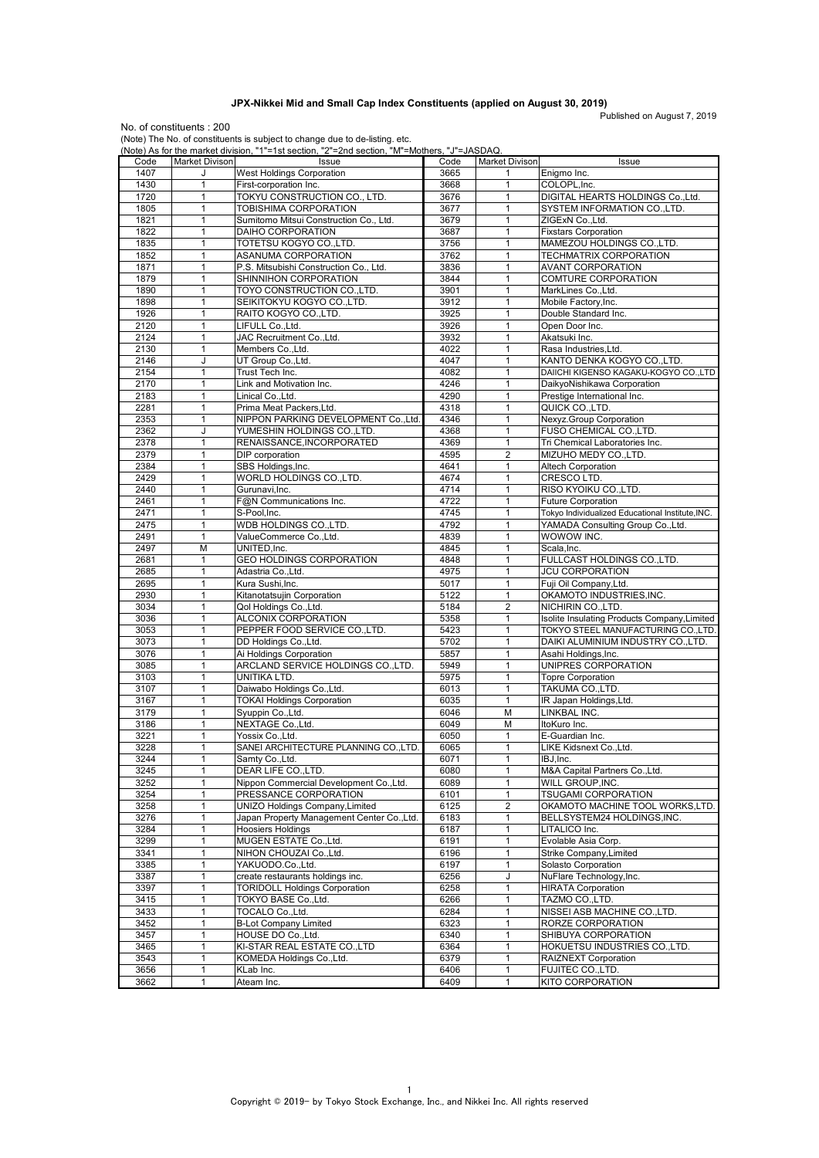## **JPX-Nikkei Mid and Small Cap Index Constituents (applied on August 30, 2019)**

Published on August 7, 2019

No. of constituents : 200 (Note) The No. of constituents is subject to change due to de-listing. etc.

|      |                | (Note) As for the market division, "1"=1st section, "2"=2nd section, "M"=Mothers, "J"=JASDAQ. |      |                         |                                                  |
|------|----------------|-----------------------------------------------------------------------------------------------|------|-------------------------|--------------------------------------------------|
| Code | Market Divison | Issue                                                                                         | Code | <b>Market Divison</b>   | Issue                                            |
| 1407 |                | <b>West Holdings Corporation</b>                                                              | 3665 | 1                       | Enigmo Inc.                                      |
| 1430 | $\mathbf{1}$   | First-corporation Inc.                                                                        | 3668 | $\mathbf{1}$            | COLOPL, Inc.                                     |
| 1720 | 1              | TOKYU CONSTRUCTION CO., LTD.                                                                  | 3676 | $\mathbf{1}$            | DIGITAL HEARTS HOLDINGS Co., Ltd.                |
| 1805 | $\mathbf{1}$   | TOBISHIMA CORPORATION                                                                         | 3677 | $\mathbf{1}$            | SYSTEM INFORMATION CO., LTD.                     |
| 1821 | $\mathbf{1}$   | Sumitomo Mitsui Construction Co., Ltd.                                                        | 3679 | $\mathbf{1}$            | ZIGExN Co., Ltd.                                 |
| 1822 | $\mathbf{1}$   | DAIHO CORPORATION                                                                             | 3687 | $\mathbf{1}$            | <b>Fixstars Corporation</b>                      |
| 1835 | 1              | TOTETSU KOGYO CO.,LTD.                                                                        | 3756 | 1                       | MAMEZOU HOLDINGS CO., LTD.                       |
| 1852 | 1              | ASANUMA CORPORATION                                                                           | 3762 | $\mathbf{1}$            | <b>TECHMATRIX CORPORATION</b>                    |
| 1871 | $\mathbf{1}$   | P.S. Mitsubishi Construction Co., Ltd.                                                        | 3836 | $\mathbf{1}$            | <b>AVANT CORPORATION</b>                         |
|      |                |                                                                                               |      |                         |                                                  |
| 1879 | 1              | SHINNIHON CORPORATION                                                                         | 3844 | 1                       | COMTURE CORPORATION                              |
| 1890 | $\mathbf{1}$   | TOYO CONSTRUCTION COLTD.                                                                      | 3901 | $\mathbf{1}$            | MarkLines Co., Ltd.                              |
| 1898 | $\mathbf{1}$   | SEIKITOKYU KOGYO CO.,LTD.                                                                     | 3912 | $\mathbf{1}$            | Mobile Factory, Inc.                             |
| 1926 | 1              | RAITO KOGYO CO.,LTD.                                                                          | 3925 | $\mathbf{1}$            | Double Standard Inc.                             |
| 2120 | $\mathbf{1}$   | LIFULL Co., Ltd.                                                                              | 3926 | $\mathbf{1}$            | Open Door Inc.                                   |
| 2124 | $\mathbf{1}$   | JAC Recruitment Co., Ltd.                                                                     | 3932 | $\mathbf{1}$            | Akatsuki Inc.                                    |
| 2130 | $\mathbf{1}$   | Members Co., Ltd.                                                                             | 4022 | $\mathbf{1}$            | Rasa Industries, Ltd.                            |
| 2146 | J              | UT Group Co., Ltd.                                                                            | 4047 | 1                       | KANTO DENKA KOGYO CO., LTD.                      |
| 2154 | $\mathbf{1}$   | Trust Tech Inc.                                                                               | 4082 | $\mathbf{1}$            | DAIICHI KIGENSO KAGAKU-KOGYO CO.,LTD             |
| 2170 | 1              | Link and Motivation Inc.                                                                      | 4246 | $\mathbf{1}$            | DaikyoNishikawa Corporation                      |
| 2183 | 1              | Linical Co., Ltd.                                                                             | 4290 | $\mathbf{1}$            | Prestige International Inc.                      |
| 2281 | $\mathbf{1}$   |                                                                                               | 4318 | $\mathbf{1}$            | QUICK CO.,LTD.                                   |
|      |                | Prima Meat Packers, Ltd.                                                                      |      |                         |                                                  |
| 2353 | 1              | NIPPON PARKING DEVELOPMENT Co., Ltd.                                                          | 4346 | 1                       | Nexyz.Group Corporation                          |
| 2362 | J              | YUMESHIN HOLDINGS CO.,LTD.                                                                    | 4368 | $\mathbf{1}$            | FUSO CHEMICAL CO., LTD.                          |
| 2378 | $\mathbf{1}$   | RENAISSANCE, INCORPORATED                                                                     | 4369 | $\mathbf{1}$            | Tri Chemical Laboratories Inc.                   |
| 2379 | 1              | DIP corporation                                                                               | 4595 | $\overline{2}$          | MIZUHO MEDY CO., LTD.                            |
| 2384 | 1              | SBS Holdings, Inc.                                                                            | 4641 | $\mathbf{1}$            | <b>Altech Corporation</b>                        |
| 2429 | 1              | WORLD HOLDINGS CO.,LTD.                                                                       | 4674 | 1                       | CRESCO LTD.                                      |
| 2440 | $\mathbf{1}$   | Gurunavi, Inc.                                                                                | 4714 | $\mathbf{1}$            | RISO KYOIKU CO., LTD.                            |
| 2461 | 1              | F@N Communications Inc.                                                                       | 4722 | 1                       | <b>Future Corporation</b>                        |
| 2471 | $\mathbf{1}$   | S-Pool.Inc.                                                                                   | 4745 | $\mathbf{1}$            | Tokyo Individualized Educational Institute, INC. |
| 2475 | $\mathbf{1}$   | WDB HOLDINGS CO.,LTD.                                                                         | 4792 | $\mathbf{1}$            | YAMADA Consulting Group Co., Ltd.                |
| 2491 | $\mathbf{1}$   | ValueCommerce Co.,Ltd.                                                                        | 4839 | $\mathbf{1}$            | WOWOW INC.                                       |
|      |                |                                                                                               |      |                         |                                                  |
| 2497 | M              | UNITED, Inc.                                                                                  | 4845 | $\mathbf{1}$            | Scala, Inc.                                      |
| 2681 | 1              | <b>GEO HOLDINGS CORPORATION</b>                                                               | 4848 | $\mathbf{1}$            | FULLCAST HOLDINGS CO., LTD.                      |
| 2685 | $\mathbf{1}$   | Adastria Co.,Ltd.                                                                             | 4975 | $\mathbf{1}$            | <b>JCU CORPORATION</b>                           |
| 2695 | 1              | Kura Sushi, Inc.                                                                              | 5017 | 1                       | Fuji Oil Company, Ltd.                           |
| 2930 | 1              | Kitanotatsujin Corporation                                                                    | 5122 | $\mathbf{1}$            | OKAMOTO INDUSTRIES, INC.                         |
| 3034 | 1              | Qol Holdings Co., Ltd.                                                                        | 5184 | 2                       | NICHIRIN CO., LTD.                               |
| 3036 | 1              | ALCONIX CORPORATION                                                                           | 5358 | 1                       | Isolite Insulating Products Company, Limited     |
| 3053 | $\mathbf{1}$   | PEPPER FOOD SERVICE CO.,LTD.                                                                  | 5423 | $\mathbf{1}$            | TOKYO STEEL MANUFACTURING CO.,LTD.               |
| 3073 | 1              | DD Holdings Co., Ltd.                                                                         | 5702 | 1                       | DAIKI ALUMINIUM INDUSTRY CO.,LTD.                |
| 3076 | $\mathbf{1}$   | Ai Holdings Corporation                                                                       | 5857 | $\mathbf{1}$            | Asahi Holdings, Inc.                             |
| 3085 | $\mathbf{1}$   | ARCLAND SERVICE HOLDINGS CO.,LTD.                                                             | 5949 | $\mathbf{1}$            | UNIPRES CORPORATION                              |
| 3103 | 1              | UNITIKA LTD.                                                                                  | 5975 | $\mathbf{1}$            | <b>Topre Corporation</b>                         |
|      |                |                                                                                               |      |                         |                                                  |
| 3107 | 1              | Daiwabo Holdings Co., Ltd.                                                                    | 6013 | $\mathbf{1}$            | TAKUMA CO.,LTD.                                  |
| 3167 | 1              | <b>TOKAI Holdings Corporation</b>                                                             | 6035 | 1                       | IR Japan Holdings, Ltd.                          |
| 3179 | $\mathbf{1}$   | Syuppin Co., Ltd.                                                                             | 6046 | M                       | LINKBAL INC.                                     |
| 3186 | 1              | NEXTAGE Co., Ltd.                                                                             | 6049 | M                       | ItoKuro Inc.                                     |
| 3221 | $\mathbf{1}$   | Yossix Co.,Ltd.                                                                               | 6050 | $\mathbf{1}$            | E-Guardian Inc.                                  |
| 3228 | $\mathbf{1}$   | SANEI ARCHITECTURE PLANNING CO.,LTD.                                                          | 6065 | $\mathbf{1}$            | LIKE Kidsnext Co., Ltd.                          |
| 3244 | 1              | Samty Co., Ltd.                                                                               | 6071 | $\mathbf{1}$            | IBJ, Inc.                                        |
| 3245 | 1              | DEAR LIFE CO., LTD.                                                                           | 6080 | 1                       | M&A Capital Partners Co., Ltd.                   |
| 3252 | 1              | Nippon Commercial Development Co., Ltd.                                                       | 6089 | $\mathbf{1}$            | WILL GROUP, INC.                                 |
| 3254 | 1              | PRESSANCE CORPORATION                                                                         | 6101 | 1                       | TSUGAMI CORPORATION                              |
|      |                |                                                                                               |      |                         |                                                  |
| 3258 | 1              | <b>UNIZO Holdings Company, Limited</b>                                                        | 6125 | $\overline{\mathbf{c}}$ | OKAMOTO MACHINE TOOL WORKS,LTD.                  |
| 3276 | 1              | Japan Property Management Center Co., Ltd.                                                    | 6183 | 1                       | BELLSYSTEM24 HOLDINGS, INC.                      |
| 3284 | 1              | <b>Hoosiers Holdings</b>                                                                      | 6187 | 1                       | LITALICO Inc.                                    |
| 3299 | 1              | MUGEN ESTATE Co.,Ltd.                                                                         | 6191 | 1                       | Evolable Asia Corp.                              |
| 3341 | 1              | NIHON CHOUZAI Co., Ltd.                                                                       | 6196 | 1                       | Strike Company, Limited                          |
| 3385 | 1              | YAKUODO.CoLtd.                                                                                | 6197 | 1                       | Solasto Corporation                              |
| 3387 | 1              | create restaurants holdings inc.                                                              | 6256 | J                       | NuFlare Technology, Inc.                         |
| 3397 | 1              | <b>TORIDOLL Holdings Corporation</b>                                                          | 6258 | $\mathbf{1}$            | <b>HIRATA Corporation</b>                        |
| 3415 | 1              | TOKYO BASE Co., Ltd.                                                                          | 6266 | 1                       | TAZMO CO.,LTD.                                   |
| 3433 | 1              | TOCALO Co., Ltd.                                                                              | 6284 | 1                       | NISSEI ASB MACHINE CO., LTD.                     |
| 3452 | 1              | <b>B-Lot Company Limited</b>                                                                  | 6323 | 1                       | RORZE CORPORATION                                |
|      | 1              |                                                                                               |      |                         |                                                  |
| 3457 |                | HOUSE DO Co.,Ltd.                                                                             | 6340 | 1                       | SHIBUYA CORPORATION                              |
| 3465 | 1              | KI-STAR REAL ESTATE CO.,LTD                                                                   | 6364 | 1                       | HOKUETSU INDUSTRIES CO.,LTD.                     |
| 3543 | 1              | KOMEDA Holdings Co., Ltd.                                                                     | 6379 | $\mathbf{1}$            | RAIZNEXT Corporation                             |
| 3656 | 1              | KLab Inc.                                                                                     | 6406 | 1                       | FUJITEC CO., LTD.                                |
| 3662 | 1              | Ateam Inc.                                                                                    | 6409 | 1                       | KITO CORPORATION                                 |
|      |                |                                                                                               |      |                         |                                                  |